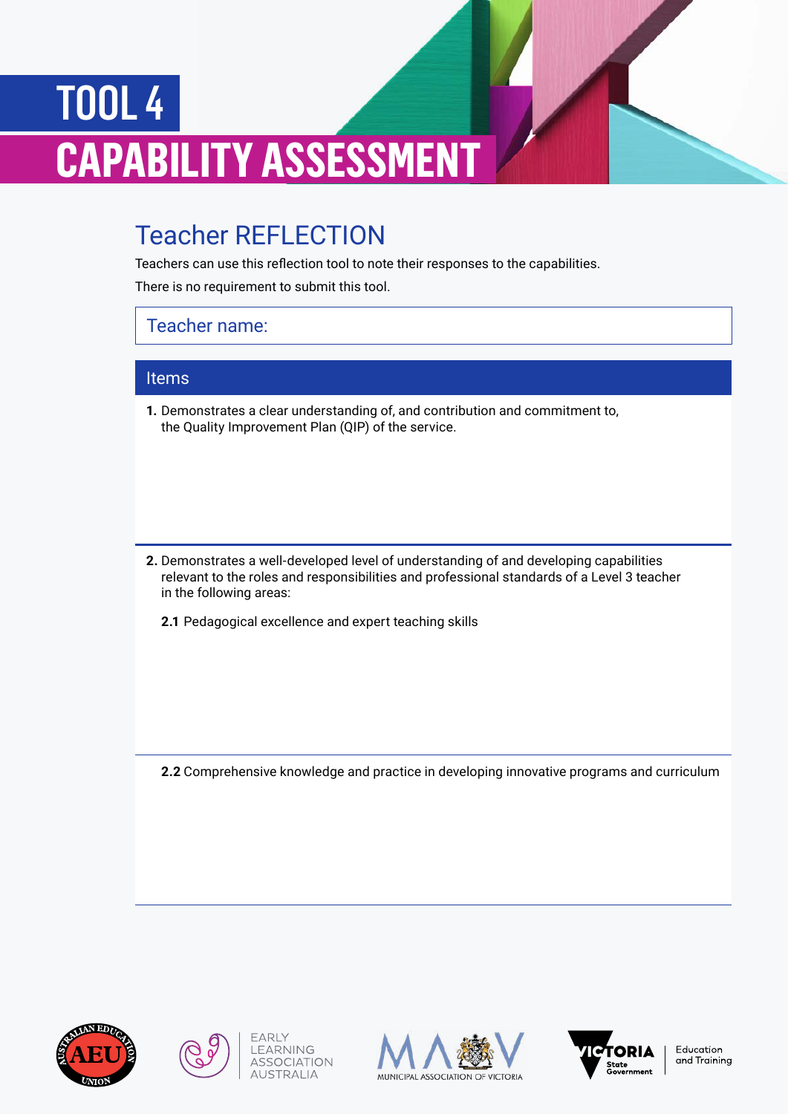## TOOL 4 **CAPABILITY ASSESSMENT**

## Teacher REFLECTION

Teachers can use this reflection tool to note their responses to the capabilities.

There is no requirement to submit this tool.

## Teacher name:

## Items

**1.** Demonstrates a clear understanding of, and contribution and commitment to, the Quality Improvement Plan (QIP) of the service.

- **2.** Demonstrates a well-developed level of understanding of and developing capabilities relevant to the roles and responsibilities and professional standards of a Level 3 teacher in the following areas:
	- **2.1** Pedagogical excellence and expert teaching skills

**2.2** Comprehensive knowledge and practice in developing innovative programs and curriculum